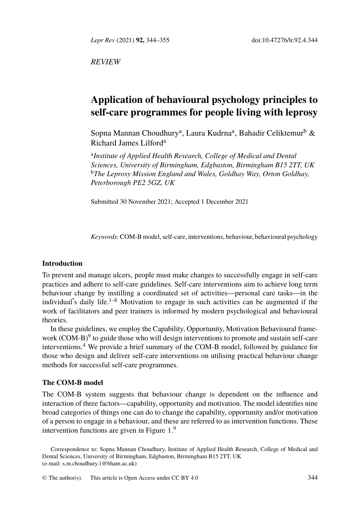*Lepr Rev* (2021) **92,** 344–355 doi:10.47276/lr.92.4.344

*REVIEW*

# **Application of behavioural psychology principles to self-care programmes for people living with leprosy**

Sopna Mannan Choudhury<sup>a</sup>, Laura Kudrna<sup>a</sup>, Bahadir Celiktemur<sup>b</sup> & Richard James Lilford<sup>a</sup>

a *Institute of Applied Health Research, College of Medical and Dental Sciences, University of Birmingham, Edgbaston, Birmingham B15 2TT, UK* <sup>b</sup>*The Leprosy Mission England and Wales, Goldhay Way, Orton Goldhay, Peterborough PE2 5GZ, UK*

Submitted 30 November 2021; Accepted 1 December 2021

*Keywords*: COM-B model, self-care, interventions, behaviour, behavioural psychology

## **Introduction**

To prevent and manage ulcers, people must make changes to successfully engage in self-care practices and adhere to self-care guidelines. Self-care interventions aim to achieve long term behaviour change by instilling a coordinated set of activities—personal care tasks—in the individual's daily life.<sup>1–8</sup> Motivation to engage in such activities can be augmented if the work of facilitators and peer trainers is informed by modern psychological and behavioural theories.

In these guidelines, we employ the Capability, Opportunity, Motivation Behavioural framework (COM-B)<sup>9</sup> to guide those who will design interventions to promote and sustain self-care interventions.<sup>4</sup> We provide a brief summa[ry](#page-1-0) [o](#page-10-0)f the COM-B model, followed by guidance for those who design and deliver self-care interventions on utilising practical behaviour change methods for successful self-care programmes.

### **The C[OM-B model](mailto:s.m.choudhury.1@bham.ac.uk)**

The COM-B system suggests that behav[iour chan](http://creativecommons.org/licenses/by/4.0/)ge is dependent on the influence and interaction of three factors—capability, opportunity and motivation. The model identifies nine broad categories of things one can do to change the capability, opportunity and/or motivation of a person to engage in a behaviour, and these are referred to as intervention functions. These intervention functions are given in Figure 1.<sup>9</sup>

Correspondence to: Sopna Mannan Choudhury, Institute of Applied Health Research, College of Medical and Dental Sciences, University of Birmingham, Edgbaston, Birmingham B15 2TT, UK (e-mail: s.m.choudhury.1@bham.ac.uk)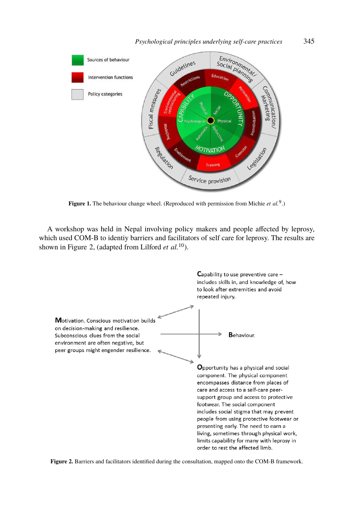<span id="page-1-0"></span>

# *Psychological principles underlying self-care practices* 345

Figure 1. The behaviour change wheel. (Reproduced with permission from Michie *et al.*<sup>9</sup>.)

A workshop was held in Nepal involving policy makers and people affected by leprosy, which used COM-B to identiy barriers and facilitators of self care for leprosy. The results are shown in Figure 2, (adapted from Lilford *et al.*10).



**Figure 2.** Barriers and facilitators identified during the consultation, mapped onto the COM-B framework.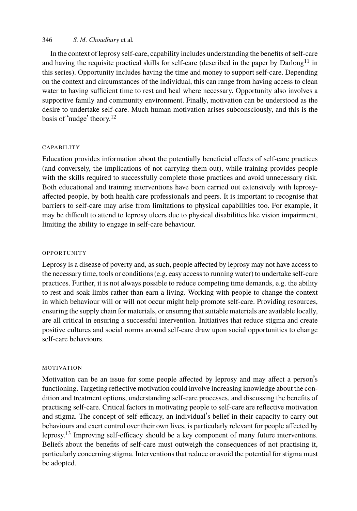## 346 *S. M. Choudh[ur](#page-11-0)y* et al*.*

In the context of leprosy self-care, capability includes understanding the benefits of self-care and having the requisite practical skills for self-care (described in the paper by  $D$ arlong<sup>11</sup> in this series). Opportunity includes having the time and money to support self-care. Depending on the context and circumstances of the individual, this can range from having access to clean water to having sufficient time to rest and heal where necessary. Opportunity also involves a supportive family and community environment. Finally, motivation can be understood as the desire to undertake self-care. Much human motivation arises subconsciously, and this is the basis of 'nudge' theory.<sup>12</sup>

### CAPABILITY

Education provides information about the potentially beneficial effects of self-care practices (and conversely, the implications of not carrying them out), while training provides people with the skills required to successfully complete those practices and avoid unnecessary risk. Both educational and training interventions have been carried out extensively with leprosyaffected people, by both health care professionals and peers. It is important to recognise that barriers to self-care may arise from limitations to physical capabilities too. For example, it may be difficult to attend to leprosy ulcers due to physical disabilities like vision impairment, limiting the ability to engage in self-care behaviour.

#### OPPORTUNITY

Leprosy is a disease of poverty and, as such, people affected by leprosy may not have access to the necessary time, tools or conditions (e.g. easy access to running water) to undertake self-care practices. Further, it is not always possible to reduce competing time demands, e.g. the ability to rest and soak limbs rather than earn a living. Working with people to change the context in which behaviour will or will not occur might help promote self-care. Providing resources, ensuring the supply chain for materials, or ensuring that suitable materials are available locally, are all critical in ensuring a successful intervention. Initiatives that reduce stigma and create positive cultures and social norms around self-care draw upon social opportunities to change self-care behaviours.

## MOTIVATION

Motivation can be an issue for some people affected by leprosy and may affect a person's functioning. Targeting reflective motivation could involve increasing knowledge about the condition and treatment options, understanding self-care processes, and discussing the benefits of practising self-care. Critical factors in motivating people to self-care are reflective motivation and stigma. The concept of self-efficacy, an individual's belief in their capacity to carry out behaviours and exert control over their own lives, is particularly relevant for people affected by leprosy.<sup>13</sup> Improving self-efficacy should be a key component of many future interventions. Beliefs about the benefits of self-care must outweigh the consequences of not practising it, particularly concerning stigma. Interventions that reduce or avoid the potential for stigma must be adopted.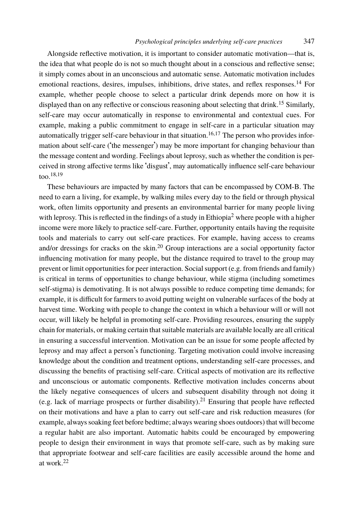### *Psychological principles underlying self-care practices* 347

Alongside reflective motivation, it is important to con[sid](#page-11-1)[er](#page-11-2) automatic motivation—that is, the idea that what people do is not so much thought about in a conscious and reflective sense; it simply comes about in an unconscious and automatic sense. Automatic motivation includes emotional reactions, desires, impulses, inhibitions, drive states, and reflex responses.<sup>14</sup> For exa[m](#page-11-3)[ple](#page-11-4), whether people choose to select a particular drink depends more on how it is displayed than on any reflective or conscious reasoning about selecting that drink.<sup>15</sup> Similarly, self-care may occur automatically in response to environmental and contextual cues. For example, making a public commitment to engage in self-care in a particular situation may automatically trigg[e](#page-10-1)r self-care behaviour in that situation.<sup>16,17</sup> The person who provides information about self-care ('the messenger') may be more important for changing behaviour than the message content and wording. Feelings about leprosy, such as whether the condition is perceived in strong affective terms like 'dis[gus](#page-11-5)t', may automatically influence self-care behaviour too.18,19

These behaviours are impacted by many factors that can be encompassed by COM-B. The need to earn a living, for example, by walking miles every day to the field or through physical work, often limits opportunity and presents an environmental barrier for many people living with leprosy. This is reflected in the findings of a study in Ethiopia<sup>2</sup> where people with a higher income were more likely to practice self-care. Further, opportunity entails having the requisite tools and materials to carry out self-care practices. For example, having access to creams and/or dressings for cracks on the skin.<sup>20</sup> Group interactions are a social opportunity factor influencing motivation for many people, but the distance required to travel to the group may prevent or limit opportunities for peer interaction. Social support (e.g. from friends and family) is critical in terms of opportunities to change behaviour, while stigma (including sometimes self-stigma) is demotivating. It is not always possible to reduce competing time demands; for example, it is difficult for farmers to avoid putting weight on vulnerable surfaces of the body at harvest time. Working with people to change the context in which a behaviour will or will not occur, will likely be helpful in promoting self-care. Pr[ov](#page-11-6)iding resources, ensuring the supply chain for materials, or making certain that suitable materials are available locally are all critical in ensuring a successful intervention. Motivation can be an issue for some people affected by leprosy and may affect a person's functioning. Targeting motivation could involve increasing knowledge about the condition and treatment options, understanding self-care processes, and discussing the benefits of practising self-care. Critical aspects of motivation are its reflective and un[con](#page-11-7)scious or automatic components. Reflective motivation includes concerns about the likely negative consequences of ulcers and subsequent disability through not doing it (e.g. lack of marriage prospects or further disability).<sup>21</sup> Ensuring that people have reflected on their motivations and have a plan to carry out self-care and risk reduction measures (for example, always soaking feet before bedtime; always wearing shoes outdoors) that will become a regular habit are also important. Automatic habits could be encouraged by empowering people to design their environment in ways that promote self-care, such as by making sure that appropriate footwear and self-care facilities are easily accessible around the home and at work.<sup>22</sup>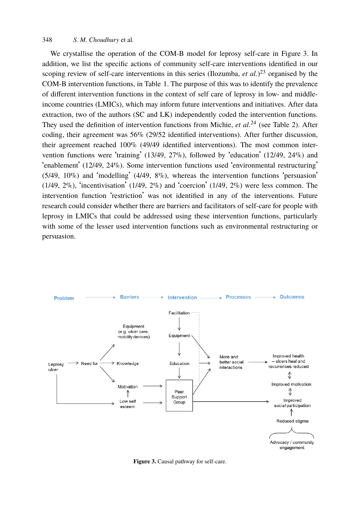## 348 *S. M. Choudhury* et al*.*

We crystallise the operation of the COM-B model for leprosy self-care in Figure 3. In addition, we list the specific actions of community self-care interventions identified in our scoping review of self-care interventions in this series (Ilozumba, *et al.*)<sup>23</sup> organised by the COM-B intervention functions, in Table 1. The purpose of this was to identify the prevalence of different intervention functions in the context of self care of leprosy in low- and middleincome countries (LMICs), which may inform future interventions and initiatives. After data extraction, two of the authors (SC and LK) independently coded the intervention functions. They used the definition of intervention functions from Michie, *et al.*<sup>24</sup> (see Table 2). After coding, their agreement was 56% (29/52 identified interventions). After further discussion, their agreement reached 100% (49/49 identified interventions). The most common intervention functions were 'training' (13/49, 27%), followed by 'education' (12/49, 24%) and 'enablement' (12/49, 24%). Some intervention functions used 'environmental restructuring' (5/49, 10%) and 'modelling' (4/49, 8%), whereas the intervention functions 'persuasion'  $(1/49, 2\%)$ , 'incentivisation'  $(1/49, 2\%)$  and 'coercion'  $(1/49, 2\%)$  were less common. The intervention function 'restriction' was not identified in any of the interventions. Future research could consider whether there are barriers and facilitators of self-care for people with leprosy in LMICs that could be addressed using these intervention functions, particularly with some of the lesser used intervention functions such as environmental restructuring or persuasion.



**Figure 3.** Causal pathway for self-care.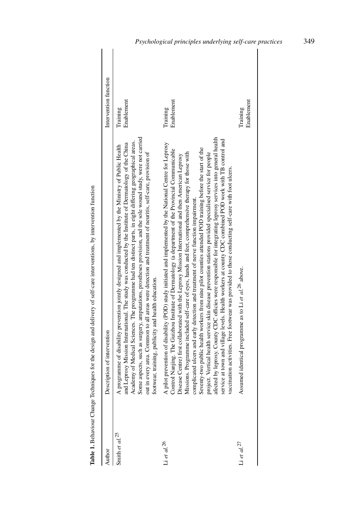| Author                  | Description of intervention                                                                                                                                                                                                                                                                                                                                                                                                                                                                                                                                                                                                                                                                                                                                                                                                                                                                                                                                                                                                                                                                             | Intervention function  |
|-------------------------|---------------------------------------------------------------------------------------------------------------------------------------------------------------------------------------------------------------------------------------------------------------------------------------------------------------------------------------------------------------------------------------------------------------------------------------------------------------------------------------------------------------------------------------------------------------------------------------------------------------------------------------------------------------------------------------------------------------------------------------------------------------------------------------------------------------------------------------------------------------------------------------------------------------------------------------------------------------------------------------------------------------------------------------------------------------------------------------------------------|------------------------|
| Smith et al. $25$       | Academy of Medical Sciences. The programme had ten distinct parts, in eight differing geographical areas.<br>Some aspects, such as surgery, amputations, prostheses provision, and the sole wound study, were not carried<br>out in<br>and Leprosy Mission International. The study was conducted by the Institute of Dermatology of the China<br>A programme of disability prevention jointly designed and implemented by the Ministry of Public Health                                                                                                                                                                                                                                                                                                                                                                                                                                                                                                                                                                                                                                                | Enablement<br>Training |
| $\Delta$ et al. $^{26}$ | by leprosy. County CDC officies were responsible for integrating leprosy services into general health<br>at town and village levels. Health workers at county CDC combined POD work with TB control and<br>prevention of disability (POD) study initiated and implemented by the National Centre for Leprosy<br>Seventy-two public health workers from nine pilot counties attended POD training before the start of the<br>A pilot prevention of disability (POD) study initiated and implemented by the National Centre for Lepros<br>Control Nanjing. The Guizhou Institute of Dermatology (a department of the Provincial Communicable<br>Disease Centre) fi<br>Missions. Programme included self-care of eyes, hands and feet, comprehensive therapy for those with<br>project. Vertical health service skin disease prevention stations provided specialised service for people<br>vaccination activities. Free footwear was provided to those conducting self-care with foot ulcers.<br>complicated ulcers and early detection and treatment of nerve function impairment.<br>afected<br>service | Enablement<br>Training |
| Li et al. $^{27}$       | Assumed identical programme as to Li et $al$ . <sup>26</sup> above.                                                                                                                                                                                                                                                                                                                                                                                                                                                                                                                                                                                                                                                                                                                                                                                                                                                                                                                                                                                                                                     | Enablement<br>Training |

Table 1. Behaviour Change Techniques for the design and delivery of self-care interventions, by intervention function **Table 1.** Behaviour Change Techniques for the design and delivery of self-care interventions, by intervention function

# *Psychological principles underlying self-care practices* 349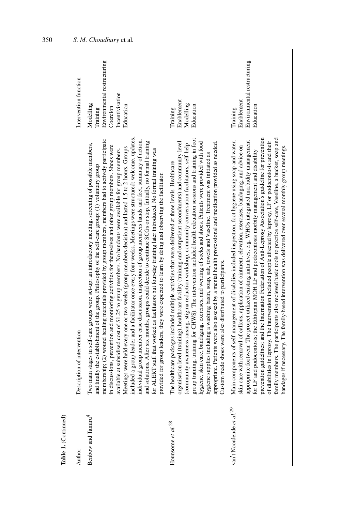| Author                               | ption of intervention<br>Descri                                                                                                                                                                                                                                                                                                                                                                                                                                                                                                                                                                                                                                                                                                                                                                                                                                                                                                                                                                                                                                                                                                                                                                                        | Intervention function                                                                            |
|--------------------------------------|------------------------------------------------------------------------------------------------------------------------------------------------------------------------------------------------------------------------------------------------------------------------------------------------------------------------------------------------------------------------------------------------------------------------------------------------------------------------------------------------------------------------------------------------------------------------------------------------------------------------------------------------------------------------------------------------------------------------------------------------------------------------------------------------------------------------------------------------------------------------------------------------------------------------------------------------------------------------------------------------------------------------------------------------------------------------------------------------------------------------------------------------------------------------------------------------------------------------|--------------------------------------------------------------------------------------------------|
| Benbow and Tamiru <sup>4</sup>       | included a group leader and a facilitator once every four weeks. Meetings were structured: welcome, updates,<br>membership; (2) wound healing materials provided by group members, members had to actively participate<br>individual group member case discussion, inspection of group members hands and feet, summary of action,<br>and solutions. After six months, groups could decide to continue SCGs or stop. Initially, no formal training<br>Two main stages in self-care groups were set-up: an introductory meeting, screening of possible members,<br>in discussions, prevention and montioring activities for themselves and other group members. Shoes were<br>Meetings were held every one or two weeks (group members decision) and lasted 1.5 to 2 hours. Groups<br>ERT staff that worked as faciliators but four-day training later introduced. No formal training was<br>available at subsidised cost of \$1.25 to group members. No handouts were available for group members.<br>and finally the establishment of the group. Philosophy of the self-care group: $(1)$ voluntary group<br>provided for group leaders, they were expected to learn by doing and observing the facilitator.<br>for AL | Environmental restructuring<br>Incentivisation<br>Modelling<br>Education<br>Coercion<br>Training |
| Hounsome et $al.^{28}$               | group training, training for CHWS). The intervention included health edcuation sessions and training in foot<br>hygiene, skin care, bandaging, exercises, and wearing of socks and shoes. Patients were provided with food<br>appropriate. Patients were also assesed by a mental health professional and medication provided as needed.<br>organisation level (training), healthcare facility (training and outpatient secondments) and community level<br>(community awareness raising, stigma reduction workshop, community conversation facilitators, self-help<br>hygiene supplies including a washing basin, soap, salt, towels and Vaseline. Treatment was initiated as<br>The healthcare packages included multiple activities that were delivered at three levels. Healthcare<br>Custom made shoes were also distributed to participants.                                                                                                                                                                                                                                                                                                                                                                     | Enablement<br>Modelling<br>Education<br>Training                                                 |
| van't Noordende et al. <sup>29</sup> | family members. The participants also recieved basic tools to practice self-care, Vaseline, a bucket, soap and<br>prevention guidelines; and the Internation Federation of Anti-Leprosy Association's guideline for prevention<br>appropraite footwear. The project utilized existing initiatives, e.g. WHOs integrated morbidity management<br>Main components of self-management of disabilies included inspection, foot hygiene using soap and water,<br>of diabilities in leprosy. The intervention included people affected by leprosy, LF or podoconiosis and their<br>skin care with removal of callous, application of ointment, elevation, exercises, bandaging, and advice on<br>bandages if necessary. The family-based intervention was delivered over several monthly group meetings.<br>for LF and podoconiosis; the Ethiopian MOH LF and podoconiosis morbity management and disability                                                                                                                                                                                                                                                                                                                 | Environmental restructuring<br>Enablement<br>Education<br>Training                               |

Table 1. (Continued) **Table 1.** (Continued)

350 *S. M. Choudhury* et al *.*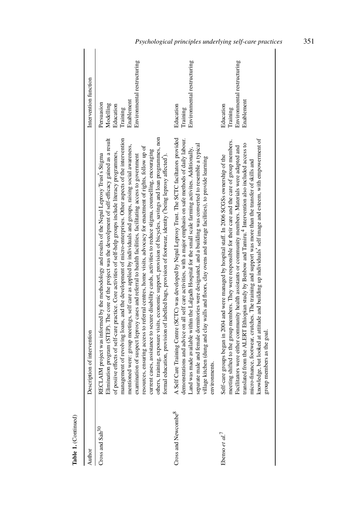| Author                          | Description of intervention                                                                                                                                                                                                                                                                                                                                                                                                                                                                                                                                                                                                                                                                                                                                                                                                                                                                                                                                                                                                                                                                                                                    | Intervention function                                                                         |
|---------------------------------|------------------------------------------------------------------------------------------------------------------------------------------------------------------------------------------------------------------------------------------------------------------------------------------------------------------------------------------------------------------------------------------------------------------------------------------------------------------------------------------------------------------------------------------------------------------------------------------------------------------------------------------------------------------------------------------------------------------------------------------------------------------------------------------------------------------------------------------------------------------------------------------------------------------------------------------------------------------------------------------------------------------------------------------------------------------------------------------------------------------------------------------------|-----------------------------------------------------------------------------------------------|
| Cross and Sah <sup>30</sup>     | others, training, exposure visits, economic support, provision of bicycles, savings and loan programmes, non<br>Elimination program (STEP). The core of the project was the deveolpment of self-efficacy gained as a result<br>management of revolving loans, and the development of micro-enterprises. Other aspects of the intervention<br>mentioned were: group meetings, self care as applied by individuals and groups, raising social awareness,<br>resources, ensuring access to referral centres, home visits, advocacy for enactment of rights, follow up of<br>current cases, assistance to secure disability cards, activities to reduce stigma, counselling, encouraging<br>of posiive effects of self-care practice. Core activities of self-help groups include literacy programmes,<br>AIM project was informed by the methodology and results of the Nepal Leprosy Trust's Stigma.<br>examination of suspect leprosy cases and referral to health facilities, facilitating access to government<br>education, provision of labelled bags, provision of footwear, identity ('being leprosy affected').<br>formal<br><b>RECL</b> | Environmental restructuring<br>Enablement<br>Persuasion<br>Modelling<br>Education<br>Training |
| Cross and Newcombe <sup>8</sup> | A Self Care Training Centre (SCTC) was developed by Nepal Leprosy Trust. The SCTC faciltators provided<br>demonstrations and advice on all self care activities, with a major emphasis on safe methods of daily labour.<br>separate male and female dormitories were designated, and a building was converted to resemble a typical<br>Land was made available within the Lalgadh Hospital for the small scale farming activites. Additionally,<br>village kitchen (dung and clay walls and floors, clay ovens and storage facilities), to provide learning<br>environments.                                                                                                                                                                                                                                                                                                                                                                                                                                                                                                                                                                   | Environmental restructuring<br>Education<br>Training                                          |
| Ebenso et al. <sup>7</sup>      | knowledge, but looked at attitude and building up individuals' self image and esteem, with empowerment of<br>meeting shifted to the group members. They were responsible for their care and the care of group members.<br>translated from the ALERT Ethiopian study by Benbow and Tamiru. <sup>4</sup> Intervention also included access to<br>Facilitators were either community health assistants or community members. Materials were adapted and<br>Self-care groups began in 2004 and were managed by hospital staff. In 2006 SCGSs ownership of the<br>micro-finance, footwear, crutches. The training and support was more than the transfer of skills and<br>group members as the goal.                                                                                                                                                                                                                                                                                                                                                                                                                                                | Environmental restructuring<br>Enablement<br>Education<br>Training                            |

Table 1. (Continued) **Table 1.** (Continued)

# *Psychological principles underlying self-care practices* 351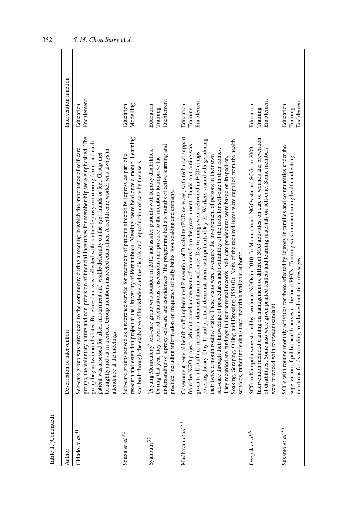| Table 1. (Continued)            |                                                                                                                                                                                                                                                                                                                                                                                                                                                                                                                                                                                                                                                                                                                                                                                                                                                                                                                                                                  |                                     |
|---------------------------------|------------------------------------------------------------------------------------------------------------------------------------------------------------------------------------------------------------------------------------------------------------------------------------------------------------------------------------------------------------------------------------------------------------------------------------------------------------------------------------------------------------------------------------------------------------------------------------------------------------------------------------------------------------------------------------------------------------------------------------------------------------------------------------------------------------------------------------------------------------------------------------------------------------------------------------------------------------------|-------------------------------------|
| Author                          | ription of intervention<br>Descr                                                                                                                                                                                                                                                                                                                                                                                                                                                                                                                                                                                                                                                                                                                                                                                                                                                                                                                                 | Intervention function               |
| Gidado et $al$ . <sup>31</sup>  | groups, the voluntary nature and non-provision of financial incentives for membership were emphasised. The<br>group began two months later. Baseline data was collected with routine leprosy monitoring forms and each<br>Self-care group was introduced to the community during a meeting in which the importance of self-care<br>fortnightly and sat in a circle. Group members inspected each other. A health care worker was always in<br>patient was assessed for ulcer, impairment and visible deformity on the eyes, hands or feet. Group met<br>attendance at the meetings.                                                                                                                                                                                                                                                                                                                                                                              | Enablement<br>Education             |
| Souza $et\; al.$<br>$^{32}$     | research and extension project at the University of Pernambuco. Meetings were held once a month. Learning<br>Self-care groups served as a reference service for treatment of patients affected by leprosy as part of a<br>was built through the exchange of knowledge and the display and reproduction of care by the users.                                                                                                                                                                                                                                                                                                                                                                                                                                                                                                                                                                                                                                     | Modelling<br>Education              |
| Syahputri <sup>33</sup>         | undersanding of leprosy self-care and confidences. The programme had six months of active learning and<br>Payung Meureuleuy' self-care group was founded in 2012 and assited patients with leprosy disabilities.<br>During that year they provided explanations, discussions and practice to the members to improve the<br>practice, including information on frequency of daily baths, foot soaking and empathy.                                                                                                                                                                                                                                                                                                                                                                                                                                                                                                                                                | Enablement<br>Education<br>Training |
| Madhavan et al. $^{34}$         | Government general health staff implemented Prevention of Disability (POD services) with technical support<br>covering theory (Day 1) and practical demonstrations with patients (Day 2). Workers visited villages during<br>Soaking, Scraping, Oiling and Dressing (ISSOD). None of the required items were supplied from the health<br>the NGO project, which trained a core team of trainers from the government. Hands-on training was<br>self-care through their knoweldge of procedures and availability of the tools for self-care in their homes.<br>given to all staff and included a demonstation in self-care. Day trainings were delivered in POD camps<br>their twice a month routine visits. These visits were to ensure the involvement of persons in their own<br>They recorded any findings in their personal records. Self-care prodedures were based on Inspection,<br>services, rather individuals used materials available at home.<br>from | Enablement<br>Education<br>Training |
| Deepak et al. <sup>6</sup>      | Intervention included training on management of different SCG activities, on care of wounds and prevention<br>SCG in Nampula were started by two local NGOs in 2010. In Manica local, NGOs started SCGs in 2009.<br>of disabilities. Some also were given printed leaflets and learning materials on self-care. Some members<br>were provided with footwear (sandals).                                                                                                                                                                                                                                                                                                                                                                                                                                                                                                                                                                                           | Enablement<br>Education<br>Training |
| Susanto et $al$ . <sup>35</sup> | SCGs with routine monthly activities for those affected by leprosy in families and communities under the<br>supervision of public health nurses at the local PHCs. Training was on maintaining health and eating<br>nutritious foods according to balanced nutrition messages.                                                                                                                                                                                                                                                                                                                                                                                                                                                                                                                                                                                                                                                                                   | Enablement<br>Education<br>Training |
|                                 |                                                                                                                                                                                                                                                                                                                                                                                                                                                                                                                                                                                                                                                                                                                                                                                                                                                                                                                                                                  |                                     |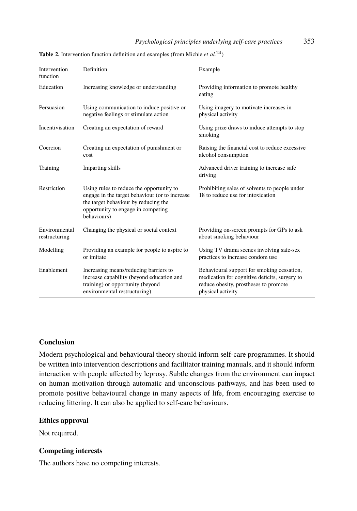# *Psychological principles underlying self-care practices* 353

**Table 2.** Intervention function definition and examples (from Michie *et al.*24)

| Intervention<br>function       | Definition                                                                                                                                                                              | Example                                                                                                                                                   |
|--------------------------------|-----------------------------------------------------------------------------------------------------------------------------------------------------------------------------------------|-----------------------------------------------------------------------------------------------------------------------------------------------------------|
| Education                      | Increasing knowledge or understanding                                                                                                                                                   | Providing information to promote healthy<br>eating                                                                                                        |
| Persuasion                     | Using communication to induce positive or<br>negative feelings or stimulate action                                                                                                      | Using imagery to motivate increases in<br>physical activity                                                                                               |
| Incentivisation                | Creating an expectation of reward                                                                                                                                                       | Using prize draws to induce attempts to stop<br>smoking                                                                                                   |
| Coercion                       | Creating an expectation of punishment or<br>cost                                                                                                                                        | Raising the financial cost to reduce excessive<br>alcohol consumption                                                                                     |
| Training                       | Imparting skills                                                                                                                                                                        | Advanced driver training to increase safe<br>driving                                                                                                      |
| Restriction                    | Using rules to reduce the opportunity to<br>engage in the target behaviour (or to increase<br>the target behaviour by reducing the<br>opportunity to engage in competing<br>behaviours) | Prohibiting sales of solvents to people under<br>18 to reduce use for intoxication                                                                        |
| Environmental<br>restructuring | Changing the physical or social context                                                                                                                                                 | Providing on-screen prompts for GPs to ask<br>about smoking behaviour                                                                                     |
| Modelling                      | Providing an example for people to aspire to<br>or imitate                                                                                                                              | Using TV drama scenes involving safe-sex<br>practices to increase condom use                                                                              |
| Enablement                     | Increasing means/reducing barriers to<br>increase capability (beyond education and<br>training) or opportunity (beyond<br>environmental restructuring)                                  | Behavioural support for smoking cessation,<br>medication for cognitive deficits, surgery to<br>reduce obesity, prostheses to promote<br>physical activity |

### **Conclusion**

Modern psychological and behavioural theory should inform self-care programmes. It should be written into intervention descriptions and facilitator training manuals, and it should inform interaction with people affected by leprosy. Subtle changes from the environment can impact on human motivation through automatic and unconscious pathways, and has been used to promote positive behavioural change in many aspects of life, from encouraging exercise to reducing littering. It can also be applied to self-care behaviours.

# **Ethics approval**

Not required.

# **Competing interests**

The authors have no competing interests.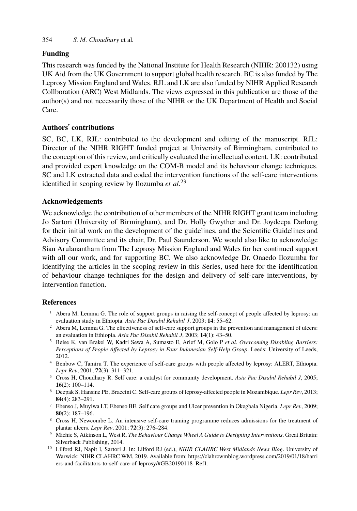## 354 *S. M. Choudhury* et al*.*

### **Funding**

This research was funded by the National Institute for Health Research (NIHR: 200132) using UK Aid from the UK Government to support global health research. BC is also funded by The Leprosy Mission England and Wales. RJL and LK are also funded by NIHR Applied Research Collboration (ARC) West Midlands. The views expressed in this publication are those of the author(s) and not necessarily those of the NI[HR](#page-11-19) or the UK Department of Health and Social Care.

### **Authors**' **contributions**

SC, BC, LK, RJL: contributed to the development and editing of the manuscript. RJL: Director of the NIHR RIGHT funded project at University of Birmingham, contributed to the conception of this review, and critically evaluated the intellectual content. LK: contributed and provided expert knowledge on the COM-B model and its behaviour change techniques. SC and LK extracted data and coded the intervention functions of the self-care interventions identified in scoping review by Ilozumba *et al.*<sup>23</sup>

### **Acknowledgements**

<span id="page-10-1"></span>We acknowledge the contribution of other members of the NIHR RIGHT grant team including Jo Sartori (University of Birmingham), and Dr. Holly Gwyther and Dr. Joydeepa Darlong for their initial work on the development of the guidelines, and the Scientific Guidelines and Advisory Committee and its chair, Dr. Paul Saunderson. We would also like to acknowledge Sian Arulanantham from The Leprosy Mission England and Wales for her continued support with all our work, and for supporting BC. We also acknowledge Dr. Onaedo Ilozumba for identifying the articles in the scoping review in this Series, used here for the identification of behaviour change techniques for the design and delivery of self-care interventions, by intervention function.

## <span id="page-10-5"></span><span id="page-10-2"></span>**References**

- <sup>1</sup> Abera M, Lemma G. The role of support groups in raising the self-concept of people affected by leprosy: an evaluation study in Ethiopia. *Asia Pac Disabil Rehabil J*, 2003; **14**: 55–62.
- <span id="page-10-4"></span><sup>2</sup> Abera M, Lemma G. The effectiveness of self-care support groups in the prevention and management of ulcers: an evaluation in Ethiopia. *Asia Pac Disabil Rehabil J*, 2003; **14**(1): 43–50.
- <span id="page-10-3"></span><sup>3</sup> Beise K, van Brakel W, Kadri Sewa A, Sumasto E, Arief M, Golo P *et al. Overcoming Disabling Barriers: Perceptions of People Affected by Leprosy in Four Indonesian Self-Help Group*. Leeds: University of Leeds, 2012.
- <span id="page-10-0"></span><sup>4</sup> Benbow C, Tamiru T. The experience of self-care groups with people affected by leprosy: ALERT, Ethiopia. *Lepr Rev*, 2001; **72**(3): 311–321.
- <sup>5</sup> Cross H, Choud[hary R. Self care: a catalyst for community development.](https://clahrcwmblog.wordpress.com/2019/01/18/barriers-and-facilitators-to-self-care-of-leprosy/#GB20190118_Ref1) *[Asia Pac Disabil Rehabil J](https://clahrcwmblog.wordpress.com/2019/01/18/barriers-and-facilitators-to-self-care-of-leprosy/#GB20190118_Ref1)*[, 2005;](https://clahrcwmblog.wordpress.com/2019/01/18/barriers-and-facilitators-to-self-care-of-leprosy/#GB20190118_Ref1) **[16](https://clahrcwmblog.wordpress.com/2019/01/18/barriers-and-facilitators-to-self-care-of-leprosy/#GB20190118_Ref1)**[\(2\): 100–114.](https://clahrcwmblog.wordpress.com/2019/01/18/barriers-and-facilitators-to-self-care-of-leprosy/#GB20190118_Ref1)
- <sup>6</sup> Deepak S, Hansine PE, Braccini C. Self-care groups of leprosy-affected people in Mozambique. *Lepr Rev*, 2013; **84**(4): 283–291.
- <sup>7</sup> Ebenso J, Muyiwa LT, Ebenso BE. Self care groups and Ulcer prevention in Okegbala Nigeria. *Lepr Rev*, 2009; **80**(2): 187–196.
- <sup>8</sup> Cross H, Newcombe L. An intensive self-care training programme reduces admissions for the treatment of plantar ulcers. *Lepr Rev*, 2001; **72**(3): 276–284.
- <sup>9</sup> Michie S, Atkinson L, West R. *The Behaviour Change Wheel A Guide to Designing Interventions*. Great Britain: Silverback Publishing, 2014.
- <sup>10</sup> Lilford RJ, Napit I, Sartori J. In: Lilford RJ (ed.), *NIHR CLAHRC West Midlands News Blog*. University of Warwick: NIHR CLAHRC WM, 2019. Available from: https://clahrcwmblog.wordpress.com/2019/01/18/barri ers-and-facilitators-to-self-care-of-leprosy/#GB20190118\_Ref1.